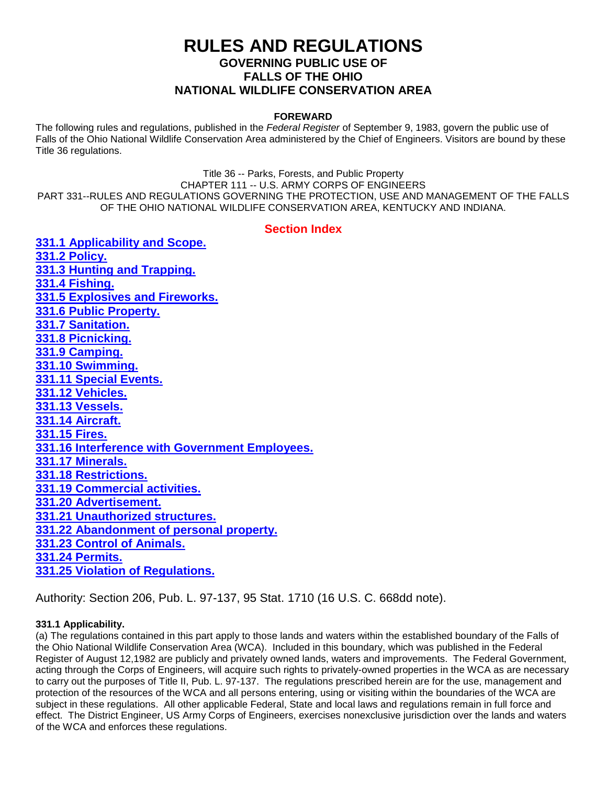# **RULES AND REGULATIONS GOVERNING PUBLIC USE OF FALLS OF THE OHIO NATIONAL WILDLIFE CONSERVATION AREA**

### **FOREWARD**

The following rules and regulations, published in the *Federal Register* of September 9, 1983, govern the public use of Falls of the Ohio National Wildlife Conservation Area administered by the Chief of Engineers. Visitors are bound by these Title 36 regulations.

Title 36 -- Parks, Forests, and Public Property CHAPTER 111 -- U.S. ARMY CORPS OF ENGINEERS PART 331--RULES AND REGULATIONS GOVERNING THE PROTECTION, USE AND MANAGEMENT OF THE FALLS OF THE OHIO NATIONAL WILDLIFE CONSERVATION AREA, KENTUCKY AND INDIANA.

# **Section Index**

<span id="page-0-1"></span>**331.1 [Applicability](#page-0-0) and Scope. 331.2 [Policy.](#page-1-0) [331.3 Hunting and Trapping.](#page-1-1) [331.4 Fishing.](#page-1-2) [331.5 Explosives and Fireworks.](#page-1-3) [331.6 Public Property.](#page-1-4) 331.7 [Sanitation.](#page-1-5) [331.8 Picnicking.](#page-1-6) 331.9 [Camping.](#page-2-0) 331.10 [Swimming.](#page-2-1) 331.11 [Special Events.](#page-2-2) 331.12 [Vehicles.](#page-2-3) 331.13 [Vessels.](#page-2-4) 331.14 [Aircraft.](#page-2-5) [331.15 Fires.](#page-2-6) 331.16 [Interference with Government Employees.](#page-2-7) 331.17 [Minerals.](#page-2-8) 331.18 [Restrictions.](#page-3-0) 331.19 [Commercial activities.](#page-3-1) [331.20 Advertisement.](#page-3-2) 331.21 [Unauthorized structures.](#page-3-3) [331.22 Abandonment](#page-3-4) of personal property. [331.23 Control of Animals.](#page-3-5) [331.24 Permits.](#page-3-6) [331.25 Violation of Regulations.](#page-3-7)**

Authority: Section 206, Pub. L. 97-137, 95 Stat. 1710 (16 U.S. C. 668dd note).

### <span id="page-0-0"></span>**331.1 Applicability.**

(a) The regulations contained in this part apply to those lands and waters within the established boundary of the Falls of the Ohio National Wildlife Conservation Area (WCA). Included in this boundary, which was published in the Federal Register of August 12,1982 are publicly and privately owned lands, waters and improvements. The Federal Government, acting through the Corps of Engineers, will acquire such rights to privately-owned properties in the WCA as are necessary to carry out the purposes of Title II, Pub. L. 97-137. The regulations prescribed herein are for the use, management and protection of the resources of the WCA and all persons entering, using or visiting within the boundaries of the WCA are subject in these regulations. All other applicable Federal, State and local laws and regulations remain in full force and effect. The District Engineer, US Army Corps of Engineers, exercises nonexclusive jurisdiction over the lands and waters of the WCA and enforces these regulations.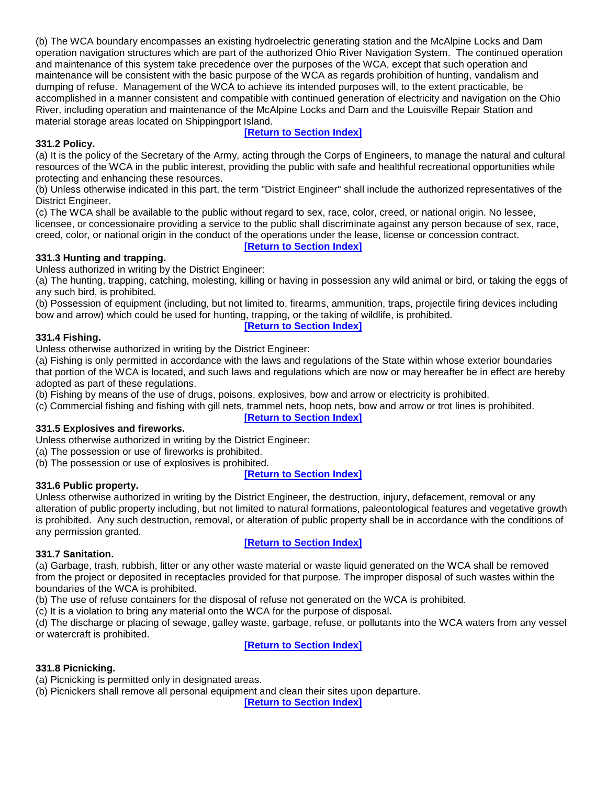(b) The WCA boundary encompasses an existing hydroelectric generating station and the McAlpine Locks and Dam operation navigation structures which are part of the authorized Ohio River Navigation System. The continued operation and maintenance of this system take precedence over the purposes of the WCA, except that such operation and maintenance will be consistent with the basic purpose of the WCA as regards prohibition of hunting, vandalism and dumping of refuse. Management of the WCA to achieve its intended purposes will, to the extent practicable, be accomplished in a manner consistent and compatible with continued generation of electricity and navigation on the Ohio River, including operation and maintenance of the McAlpine Locks and Dam and the Louisville Repair Station and material storage areas located on Shippingport Island.

## <span id="page-1-0"></span>**331.2 Policy.**

# **[\[Return to Section Index\]](#page-0-1)**

(a) It is the policy of the Secretary of the Army, acting through the Corps of Engineers, to manage the natural and cultural resources of the WCA in the public interest, providing the public with safe and healthful recreational opportunities while protecting and enhancing these resources.

(b) Unless otherwise indicated in this part, the term "District Engineer" shall include the authorized representatives of the District Engineer.

(c) The WCA shall be available to the public without regard to sex, race, color, creed, or national origin. No lessee, licensee, or concessionaire providing a service to the public shall discriminate against any person because of sex, race, creed, color, or national origin in the conduct of the operations under the lease, license or concession contract.

# <span id="page-1-1"></span>**331.3 Hunting and trapping.**

Unless authorized in writing by the District Engineer:

(a) The hunting, trapping, catching, molesting, killing or having in possession any wild animal or bird, or taking the eggs of any such bird, is prohibited.

**[\[Return to Section Index\]](#page-0-1)**

(b) Possession of equipment (including, but not limited to, firearms, ammunition, traps, projectile firing devices including bow and arrow) which could be used for hunting, trapping, or the taking of wildlife, is prohibited. **[\[Return to Section Index\]](#page-0-1)**

# <span id="page-1-2"></span>**331.4 Fishing.**

Unless otherwise authorized in writing by the District Engineer:

(a) Fishing is only permitted in accordance with the laws and regulations of the State within whose exterior boundaries that portion of the WCA is located, and such laws and regulations which are now or may hereafter be in effect are hereby adopted as part of these regulations.

(b) Fishing by means of the use of drugs, poisons, explosives, bow and arrow or electricity is prohibited.

(c) Commercial fishing and fishing with gill nets, trammel nets, hoop nets, bow and arrow or trot lines is prohibited. **[\[Return to Section Index\]](#page-0-1)**

# <span id="page-1-3"></span>**331.5 Explosives and fireworks.**

Unless otherwise authorized in writing by the District Engineer:

(a) The possession or use of fireworks is prohibited.

(b) The possession or use of explosives is prohibited.

# **[\[Return to Section Index\]](#page-0-1)**

# <span id="page-1-4"></span>**331.6 Public property.**

Unless otherwise authorized in writing by the District Engineer, the destruction, injury, defacement, removal or any alteration of public property including, but not limited to natural formations, paleontological features and vegetative growth is prohibited. Any such destruction, removal, or alteration of public property shall be in accordance with the conditions of any permission granted.

**[\[Return to Section Index\]](#page-0-1)**

# <span id="page-1-5"></span>**331.7 Sanitation.**

(a) Garbage, trash, rubbish, litter or any other waste material or waste liquid generated on the WCA shall be removed from the project or deposited in receptacles provided for that purpose. The improper disposal of such wastes within the boundaries of the WCA is prohibited.

(b) The use of refuse containers for the disposal of refuse not generated on the WCA is prohibited.

(c) It is a violation to bring any material onto the WCA for the purpose of disposal.

(d) The discharge or placing of sewage, galley waste, garbage, refuse, or pollutants into the WCA waters from any vessel or watercraft is prohibited.

# **[\[Return to Section Index\]](#page-0-1)**

# <span id="page-1-6"></span>**331.8 Picnicking.**

(a) Picnicking is permitted only in designated areas.

(b) Picnickers shall remove all personal equipment and clean their sites upon departure.

**[\[Return to Section Index\]](#page-0-1)**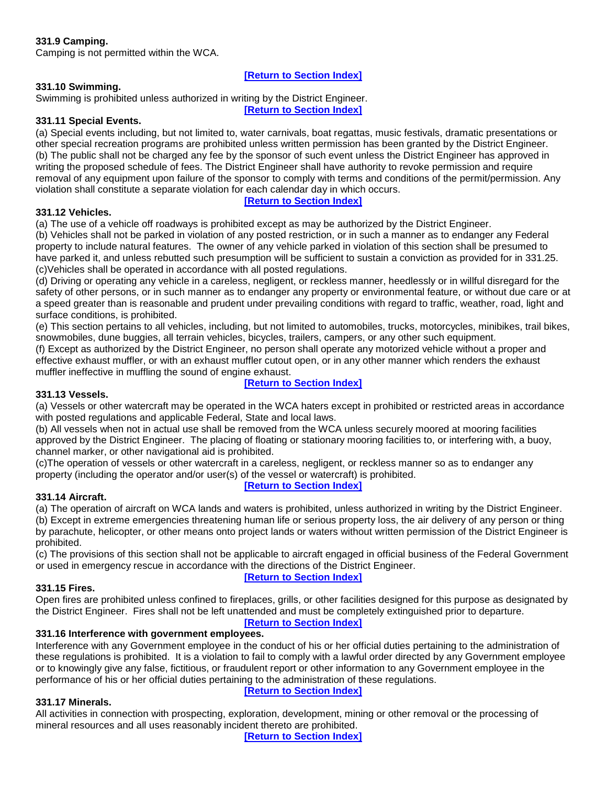# <span id="page-2-0"></span>**331.9 Camping.**

Camping is not permitted within the WCA.

# **[\[Return to Section Index\]](#page-0-1)**

### <span id="page-2-1"></span>**331.10 Swimming.**

Swimming is prohibited unless authorized in writing by the District Engineer. **[\[Return to Section Index\]](#page-0-1)**

### <span id="page-2-2"></span>**331.11 Special Events.**

(a) Special events including, but not limited to, water carnivals, boat regattas, music festivals, dramatic presentations or other special recreation programs are prohibited unless written permission has been granted by the District Engineer. (b) The public shall not be charged any fee by the sponsor of such event unless the District Engineer has approved in writing the proposed schedule of fees. The District Engineer shall have authority to revoke permission and require removal of any equipment upon failure of the sponsor to comply with terms and conditions of the permit/permission. Any violation shall constitute a separate violation for each calendar day in which occurs.

### <span id="page-2-3"></span>**331.12 Vehicles.**

### **[\[Return to Section Index\]](#page-0-1)**

(a) The use of a vehicle off roadways is prohibited except as may be authorized by the District Engineer.

(b) Vehicles shall not be parked in violation of any posted restriction, or in such a manner as to endanger any Federal property to include natural features. The owner of any vehicle parked in violation of this section shall be presumed to have parked it, and unless rebutted such presumption will be sufficient to sustain a conviction as provided for in 331.25. (c)Vehicles shall be operated in accordance with all posted regulations.

(d) Driving or operating any vehicle in a careless, negligent, or reckless manner, heedlessly or in willful disregard for the safety of other persons, or in such manner as to endanger any property or environmental feature, or without due care or at a speed greater than is reasonable and prudent under prevailing conditions with regard to traffic, weather, road, light and surface conditions, is prohibited.

(e) This section pertains to all vehicles, including, but not limited to automobiles, trucks, motorcycles, minibikes, trail bikes, snowmobiles, dune buggies, all terrain vehicles, bicycles, trailers, campers, or any other such equipment.

(f) Except as authorized by the District Engineer, no person shall operate any motorized vehicle without a proper and effective exhaust muffler, or with an exhaust muffler cutout open, or in any other manner which renders the exhaust muffler ineffective in muffling the sound of engine exhaust.

### <span id="page-2-4"></span>**331.13 Vessels.**

### **[\[Return to Section Index\]](#page-0-1)**

(a) Vessels or other watercraft may be operated in the WCA haters except in prohibited or restricted areas in accordance with posted regulations and applicable Federal, State and local laws.

(b) All vessels when not in actual use shall be removed from the WCA unless securely moored at mooring facilities approved by the District Engineer. The placing of floating or stationary mooring facilities to, or interfering with, a buoy, channel marker, or other navigational aid is prohibited.

(c)The operation of vessels or other watercraft in a careless, negligent, or reckless manner so as to endanger any property (including the operator and/or user(s) of the vessel or watercraft) is prohibited.

### **[\[Return to Section Index\]](#page-0-1)**

### <span id="page-2-5"></span>**331.14 Aircraft.**

(a) The operation of aircraft on WCA lands and waters is prohibited, unless authorized in writing by the District Engineer.

(b) Except in extreme emergencies threatening human life or serious property loss, the air delivery of any person or thing by parachute, helicopter, or other means onto project lands or waters without written permission of the District Engineer is prohibited.

(c) The provisions of this section shall not be applicable to aircraft engaged in official business of the Federal Government or used in emergency rescue in accordance with the directions of the District Engineer.

### <span id="page-2-6"></span>**331.15 Fires.**

**[\[Return to Section Index\]](#page-0-1)**

Open fires are prohibited unless confined to fireplaces, grills, or other facilities designed for this purpose as designated by the District Engineer. Fires shall not be left unattended and must be completely extinguished prior to departure. **[\[Return to Section Index\]](#page-0-1)**

### <span id="page-2-7"></span>**331.16 Interference with government employees.**

Interference with any Government employee in the conduct of his or her official duties pertaining to the administration of these regulations is prohibited. It is a violation to fail to comply with a lawful order directed by any Government employee or to knowingly give any false, fictitious, or fraudulent report or other information to any Government employee in the performance of his or her official duties pertaining to the administration of these regulations.

### <span id="page-2-8"></span>**331.17 Minerals.**

**[\[Return to Section Index\]](#page-0-1)**

All activities in connection with prospecting, exploration, development, mining or other removal or the processing of mineral resources and all uses reasonably incident thereto are prohibited.

**[\[Return to Section Index\]](#page-0-1)**